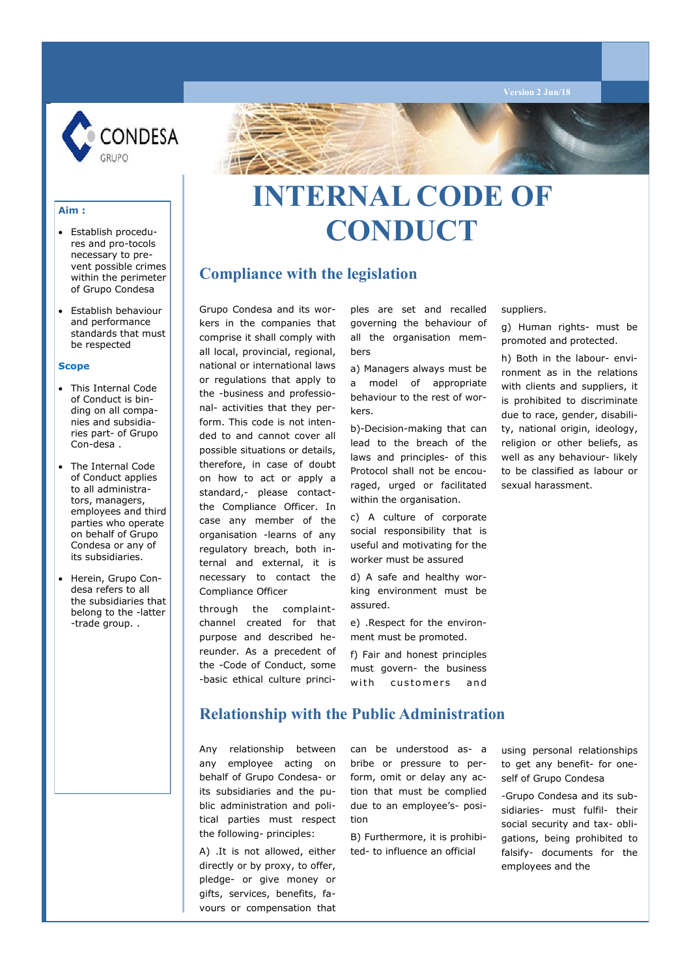

### **Compliance with the legislation**

 Establish behaviour and performance standards that must be respected

 Establish procedures and pro-tocols necessary to prevent possible crimes within the perimeter of Grupo Condesa

#### **Scope**

**Aim :**

- This Internal Code of Conduct is binding on all companies and subsidiaries part- of Grupo Con-desa .
- The Internal Code of Conduct applies to all administrators, managers, employees and third parties who operate on behalf of Grupo Condesa or any of its subsidiaries.
- Herein, Grupo Condesa refers to all the subsidiaries that belong to the -latter -trade group. .

Grupo Condesa and its workers in the companies that comprise it shall comply with all local, provincial, regional, national or international laws or regulations that apply to the -business and professional- activities that they perform. This code is not intended to and cannot cover all possible situations or details, therefore, in case of doubt on how to act or apply a standard,- please contactthe Compliance Officer. In case any member of the organisation -learns of any regulatory breach, both internal and external, it is necessary to contact the Compliance Officer

through the complaintchannel created for that purpose and described hereunder. As a precedent of the -Code of Conduct, some -basic ethical culture principles are set and recalled governing the behaviour of all the organisation members

a) Managers always must be a model of appropriate behaviour to the rest of workers.

b)-Decision-making that can lead to the breach of the laws and principles- of this Protocol shall not be encouraged, urged or facilitated within the organisation.

c) A culture of corporate social responsibility that is useful and motivating for the worker must be assured

d) A safe and healthy working environment must be assured.

e) .Respect for the environment must be promoted.

f) Fair and honest principles must govern- the business with customers and suppliers.

g) Human rights- must be promoted and protected.

h) Both in the labour- environment as in the relations with clients and suppliers, it is prohibited to discriminate due to race, gender, disability, national origin, ideology, religion or other beliefs, as well as any behaviour- likely to be classified as labour or sexual harassment.

#### **Relationship with the Public Administration**

Any relationship between any employee acting on behalf of Grupo Condesa- or its subsidiaries and the public administration and political parties must respect the following- principles:

A) .It is not allowed, either directly or by proxy, to offer, pledge- or give money or gifts, services, benefits, favours or compensation that

can be understood as- a bribe or pressure to perform, omit or delay any action that must be complied due to an employee's- position

B) Furthermore, it is prohibited- to influence an official

using personal relationships to get any benefit- for oneself of Grupo Condesa

-Grupo Condesa and its subsidiaries- must fulfil- their social security and tax- obligations, being prohibited to falsify- documents for the employees and the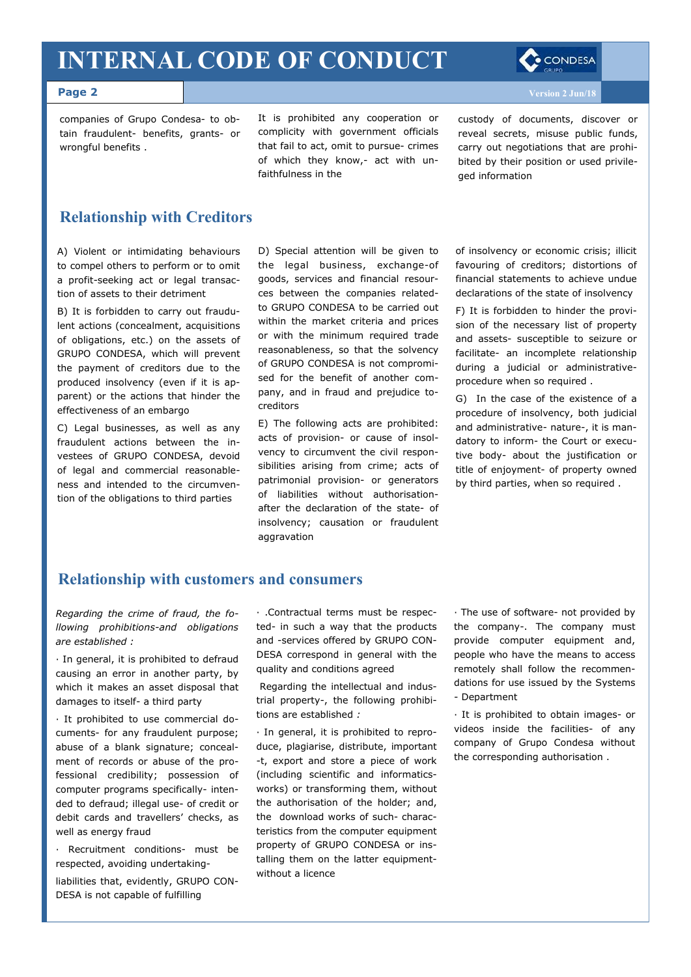#### **Page 2**

companies of Grupo Condesa- to obtain fraudulent- benefits, grants- or wrongful benefits .

It is prohibited any cooperation or complicity with government officials that fail to act, omit to pursue- crimes of which they know,- act with unfaithfulness in the

custody of documents, discover or reveal secrets, misuse public funds, carry out negotiations that are prohibited by their position or used privileged information

#### **Relationship with Creditors**

A) Violent or intimidating behaviours to compel others to perform or to omit a profit-seeking act or legal transaction of assets to their detriment

B) It is forbidden to carry out fraudulent actions (concealment, acquisitions of obligations, etc.) on the assets of GRUPO CONDESA, which will prevent the payment of creditors due to the produced insolvency (even if it is apparent) or the actions that hinder the effectiveness of an embargo

C) Legal businesses, as well as any fraudulent actions between the investees of GRUPO CONDESA, devoid of legal and commercial reasonableness and intended to the circumvention of the obligations to third parties

D) Special attention will be given to the legal business, exchange-of goods, services and financial resources between the companies relatedto GRUPO CONDESA to be carried out within the market criteria and prices or with the minimum required trade reasonableness, so that the solvency of GRUPO CONDESA is not compromised for the benefit of another company, and in fraud and prejudice tocreditors

E) The following acts are prohibited: acts of provision- or cause of insolvency to circumvent the civil responsibilities arising from crime; acts of patrimonial provision- or generators of liabilities without authorisationafter the declaration of the state- of insolvency; causation or fraudulent aggravation

of insolvency or economic crisis; illicit favouring of creditors; distortions of financial statements to achieve undue declarations of the state of insolvency

F) It is forbidden to hinder the provision of the necessary list of property and assets- susceptible to seizure or facilitate- an incomplete relationship during a judicial or administrativeprocedure when so required .

G) In the case of the existence of a procedure of insolvency, both judicial and administrative- nature-, it is mandatory to inform- the Court or executive body- about the justification or title of enjoyment- of property owned by third parties, when so required .

#### **Relationship with customers and consumers**

*Regarding the crime of fraud, the following prohibitions-and obligations are established :*

· In general, it is prohibited to defraud causing an error in another party, by which it makes an asset disposal that damages to itself- a third party

· It prohibited to use commercial documents- for any fraudulent purpose; abuse of a blank signature; concealment of records or abuse of the professional credibility; possession of computer programs specifically- intended to defraud; illegal use- of credit or debit cards and travellers' checks, as well as energy fraud

· Recruitment conditions- must be respected, avoiding undertaking-

liabilities that, evidently, GRUPO CON-DESA is not capable of fulfilling

· .Contractual terms must be respected- in such a way that the products and -services offered by GRUPO CON-DESA correspond in general with the quality and conditions agreed

Regarding the intellectual and industrial property-, the following prohibitions are established *:*

· In general, it is prohibited to reproduce, plagiarise, distribute, important -t, export and store a piece of work (including scientific and informaticsworks) or transforming them, without the authorisation of the holder; and, the download works of such- characteristics from the computer equipment property of GRUPO CONDESA or installing them on the latter equipmentwithout a licence

· The use of software- not provided by the company-. The company must provide computer equipment and, people who have the means to access remotely shall follow the recommendations for use issued by the Systems - Department

· It is prohibited to obtain images- or videos inside the facilities- of any company of Grupo Condesa without the corresponding authorisation .

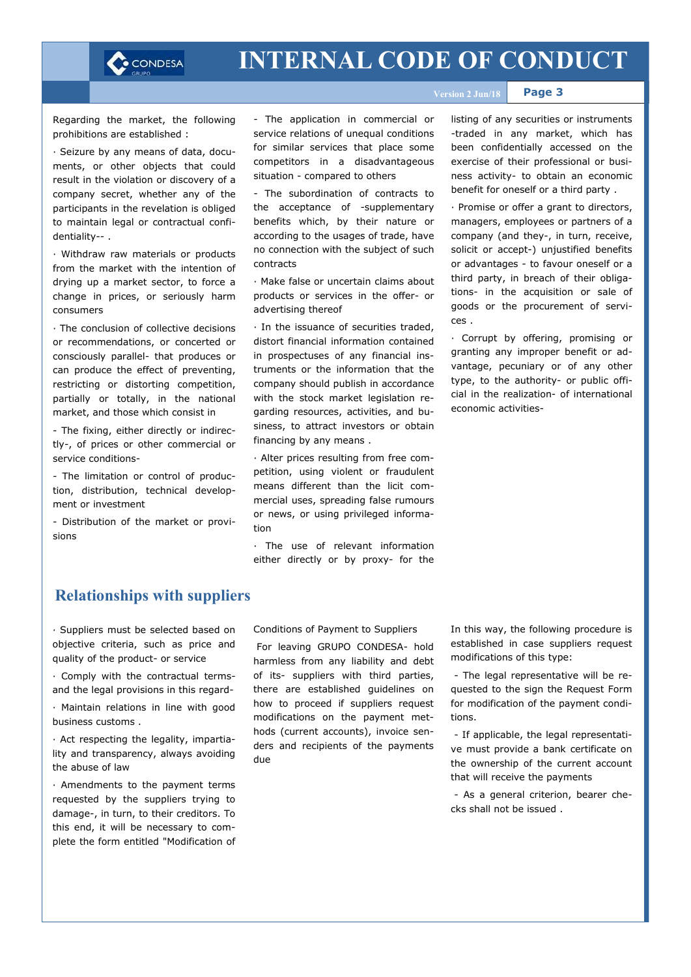

**Page 3**

Regarding the market, the following prohibitions are established :

· Seizure by any means of data, documents, or other objects that could result in the violation or discovery of a company secret, whether any of the participants in the revelation is obliged to maintain legal or contractual confidentiality-- .

· Withdraw raw materials or products from the market with the intention of drying up a market sector, to force a change in prices, or seriously harm consumers

· The conclusion of collective decisions or recommendations, or concerted or consciously parallel- that produces or can produce the effect of preventing, restricting or distorting competition, partially or totally, in the national market, and those which consist in

- The fixing, either directly or indirectly-, of prices or other commercial or service conditions-

- The limitation or control of production, distribution, technical development or investment

- Distribution of the market or provisions

- The application in commercial or service relations of unequal conditions for similar services that place some competitors in a disadvantageous situation - compared to others

- The subordination of contracts to the acceptance of -supplementary benefits which, by their nature or according to the usages of trade, have no connection with the subject of such contracts

· Make false or uncertain claims about products or services in the offer- or advertising thereof

· In the issuance of securities traded, distort financial information contained in prospectuses of any financial instruments or the information that the company should publish in accordance with the stock market legislation regarding resources, activities, and business, to attract investors or obtain financing by any means .

· Alter prices resulting from free competition, using violent or fraudulent means different than the licit commercial uses, spreading false rumours or news, or using privileged information

· The use of relevant information either directly or by proxy- for the listing of any securities or instruments -traded in any market, which has been confidentially accessed on the exercise of their professional or business activity- to obtain an economic benefit for oneself or a third party .

· Promise or offer a grant to directors, managers, employees or partners of a company (and they-, in turn, receive, solicit or accept-) unjustified benefits or advantages - to favour oneself or a third party, in breach of their obligations- in the acquisition or sale of goods or the procurement of services .

· Corrupt by offering, promising or granting any improper benefit or advantage, pecuniary or of any other type, to the authority- or public official in the realization- of international economic activities-

#### **Relationships with suppliers**

*·* Suppliers must be selected based on objective criteria, such as price and quality of the product- or service

· Comply with the contractual termsand the legal provisions in this regard-

· Maintain relations in line with good business customs .

· Act respecting the legality, impartiality and transparency, always avoiding the abuse of law

· Amendments to the payment terms requested by the suppliers trying to damage-, in turn, to their creditors. To this end, it will be necessary to complete the form entitled "Modification of Conditions of Payment to Suppliers

For leaving GRUPO CONDESA- hold harmless from any liability and debt of its- suppliers with third parties, there are established guidelines on how to proceed if suppliers request modifications on the payment methods (current accounts), invoice senders and recipients of the payments due

In this way, the following procedure is established in case suppliers request modifications of this type:

- The legal representative will be requested to the sign the Request Form for modification of the payment conditions.

- If applicable, the legal representative must provide a bank certificate on the ownership of the current account that will receive the payments

- As a general criterion, bearer checks shall not be issued .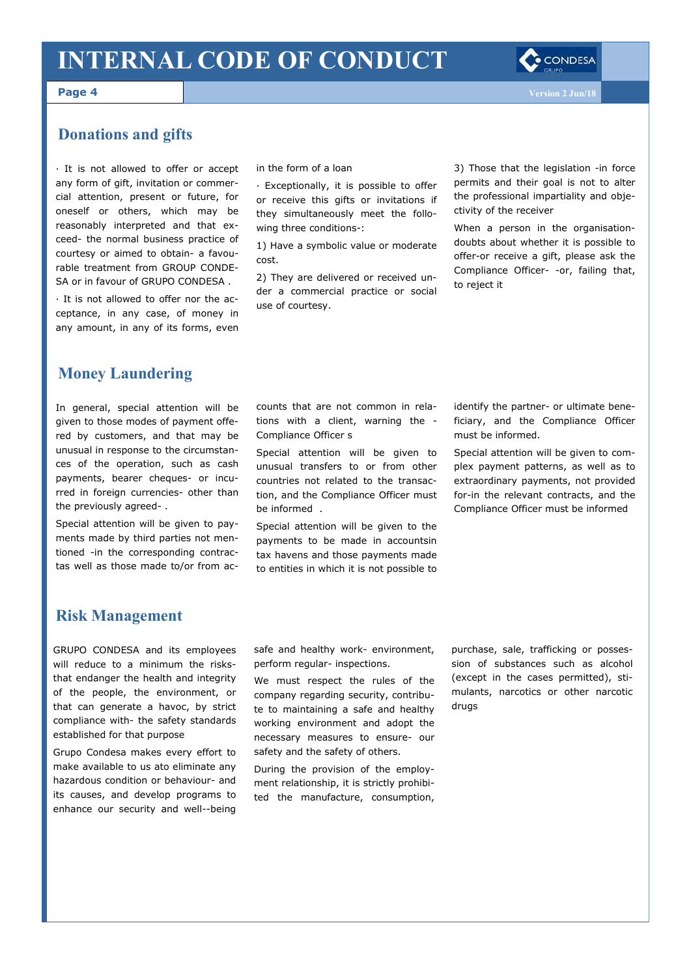

**Page 4**

#### **Donations and gifts**

· It is not allowed to offer or accept any form of gift, invitation or commercial attention, present or future, for oneself or others, which may be reasonably interpreted and that exceed- the normal business practice of courtesy or aimed to obtain- a favourable treatment from GROUP CONDE-SA or in favour of GRUPO CONDESA .

· It is not allowed to offer nor the acceptance, in any case, of money in any amount, in any of its forms, even in the form of a loan

· Exceptionally, it is possible to offer or receive this gifts or invitations if they simultaneously meet the following three conditions-:

1) Have a symbolic value or moderate cost.

2) They are delivered or received under a commercial practice or social use of courtesy.

3) Those that the legislation -in force permits and their goal is not to alter the professional impartiality and objectivity of the receiver

When a person in the organisationdoubts about whether it is possible to offer-or receive a gift, please ask the Compliance Officer- -or, failing that, to reject it

#### **Money Laundering**

In general, special attention will be given to those modes of payment offered by customers, and that may be unusual in response to the circumstances of the operation, such as cash payments, bearer cheques- or incurred in foreign currencies- other than the previously agreed- .

Special attention will be given to payments made by third parties not mentioned -in the corresponding contractas well as those made to/or from accounts that are not common in relations with a client, warning the - Compliance Officer s

Special attention will be given to unusual transfers to or from other countries not related to the transaction, and the Compliance Officer must be informed .

Special attention will be given to the payments to be made in accountsin tax havens and those payments made to entities in which it is not possible to identify the partner- or ultimate beneficiary, and the Compliance Officer must be informed.

Special attention will be given to complex payment patterns, as well as to extraordinary payments, not provided for-in the relevant contracts, and the Compliance Officer must be informed

#### **Risk Management**

GRUPO CONDESA and its employees will reduce to a minimum the risksthat endanger the health and integrity of the people, the environment, or that can generate a havoc, by strict compliance with- the safety standards established for that purpose

Grupo Condesa makes every effort to make available to us ato eliminate any hazardous condition or behaviour- and its causes, and develop programs to enhance our security and well--being

safe and healthy work- environment, perform regular- inspections.

We must respect the rules of the company regarding security, contribute to maintaining a safe and healthy working environment and adopt the necessary measures to ensure- our safety and the safety of others.

During the provision of the employment relationship, it is strictly prohibited the manufacture, consumption,

purchase, sale, trafficking or possession of substances such as alcohol (except in the cases permitted), stimulants, narcotics or other narcotic drugs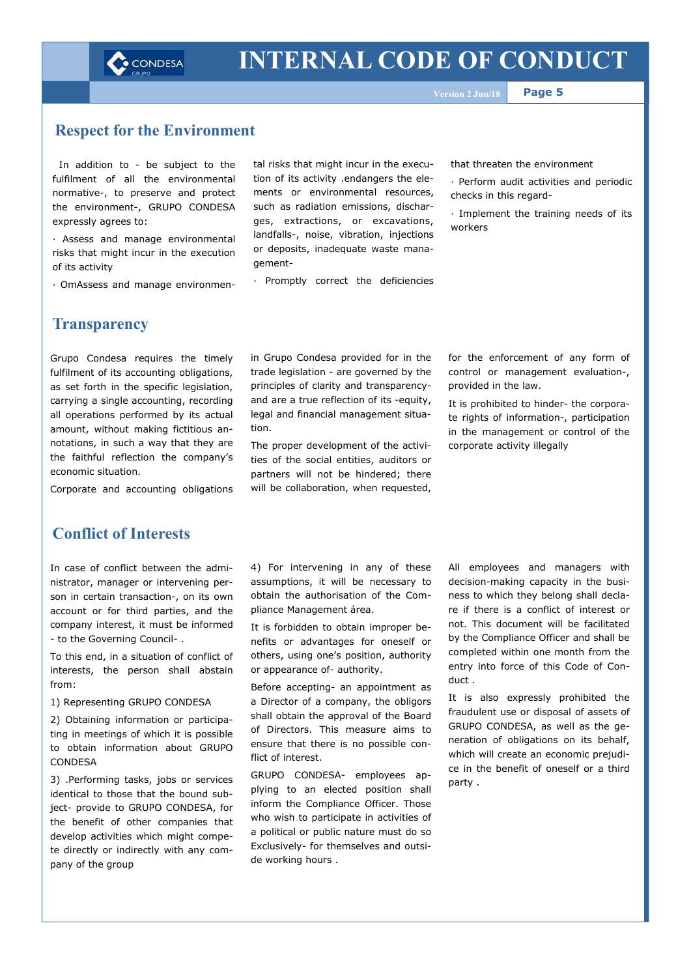

**Page 5**

#### **Respect for the Environment**

In addition to - be subject to the fulfilment of all the environmental normative-, to preserve and protect the environment-, GRUPO CONDESA expressly agrees to:

· Assess and manage environmental risks that might incur in the execution of its activity

· OmAssess and manage environmen-

tal risks that might incur in the execution of its activity .endangers the elements or environmental resources, such as radiation emissions, discharges, extractions, or excavations, landfalls-, noise, vibration, injections or deposits, inadequate waste management-

· Promptly correct the deficiencies

in Grupo Condesa provided for in the trade legislation - are governed by the principles of clarity and transparencyand are a true reflection of its -equity, legal and financial management situa-

The proper development of the activities of the social entities, auditors or partners will not be hindered; there will be collaboration, when requested,

tion.

that threaten the environment

- · Perform audit activities and periodic checks in this regard-
- · Implement the training needs of its workers

for the enforcement of any form of control or management evaluation-,

It is prohibited to hinder- the corporate rights of information-, participation in the management or control of the

provided in the law.

corporate activity illegally

#### **Transparency**

Grupo Condesa requires the timely fulfilment of its accounting obligations, as set forth in the specific legislation, carrying a single accounting, recording all operations performed by its actual amount, without making fictitious annotations, in such a way that they are the faithful reflection the company's economic situation.

Corporate and accounting obligations

### **Conflict of Interests**

In case of conflict between the administrator, manager or intervening person in certain transaction-, on its own account or for third parties, and the company interest, it must be informed - to the Governing Council- .

To this end, in a situation of conflict of interests, the person shall abstain from:

1) Representing GRUPO CONDESA

2) Obtaining information or participating in meetings of which it is possible to obtain information about GRUPO **CONDESA** 

3) .Performing tasks, jobs or services identical to those that the bound subject- provide to GRUPO CONDESA, for the benefit of other companies that develop activities which might compete directly or indirectly with any company of the group

4) For intervening in any of these assumptions, it will be necessary to obtain the authorisation of the Compliance Management área.

It is forbidden to obtain improper benefits or advantages for oneself or others, using one's position, authority or appearance of- authority.

Before accepting- an appointment as a Director of a company, the obligors shall obtain the approval of the Board of Directors. This measure aims to ensure that there is no possible conflict of interest.

GRUPO CONDESA- employees applying to an elected position shall inform the Compliance Officer. Those who wish to participate in activities of a political or public nature must do so Exclusively- for themselves and outside working hours .

All employees and managers with decision-making capacity in the business to which they belong shall declare if there is a conflict of interest or not. This document will be facilitated by the Compliance Officer and shall be completed within one month from the entry into force of this Code of Conduct .

It is also expressly prohibited the fraudulent use or disposal of assets of GRUPO CONDESA, as well as the generation of obligations on its behalf, which will create an economic prejudice in the benefit of oneself or a third party .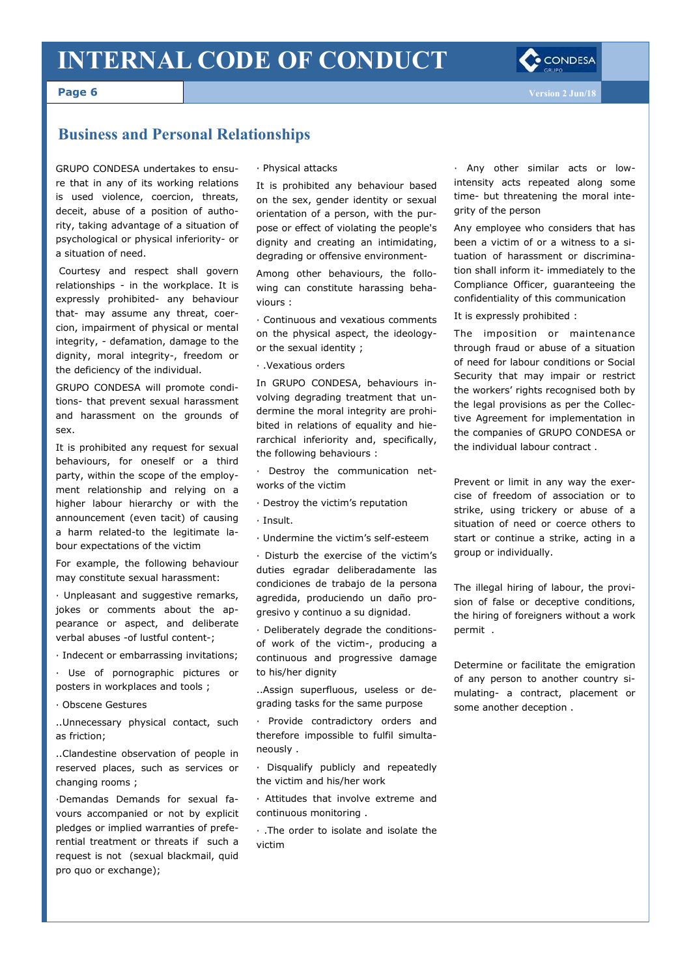

**Page 6**

### **Business and Personal Relationships**

GRUPO CONDESA undertakes to ensure that in any of its working relations is used violence, coercion, threats, deceit, abuse of a position of authority, taking advantage of a situation of psychological or physical inferiority- or a situation of need.

Courtesy and respect shall govern relationships - in the workplace. It is expressly prohibited- any behaviour that- may assume any threat, coercion, impairment of physical or mental integrity, - defamation, damage to the dignity, moral integrity-, freedom or the deficiency of the individual.

GRUPO CONDESA will promote conditions- that prevent sexual harassment and harassment on the grounds of sex.

It is prohibited any request for sexual behaviours, for oneself or a third party, within the scope of the employment relationship and relying on a higher labour hierarchy or with the announcement (even tacit) of causing a harm related-to the legitimate labour expectations of the victim

For example, the following behaviour may constitute sexual harassment:

· Unpleasant and suggestive remarks, jokes or comments about the appearance or aspect, and deliberate verbal abuses -of lustful content-;

· Indecent or embarrassing invitations;

· Use of pornographic pictures or posters in workplaces and tools ;

· Obscene Gestures

..Unnecessary physical contact, such as friction;

..Clandestine observation of people in reserved places, such as services or changing rooms ;

·Demandas Demands for sexual favours accompanied or not by explicit pledges or implied warranties of preferential treatment or threats if such a request is not (sexual blackmail, quid pro quo or exchange);

· Physical attacks

It is prohibited any behaviour based on the sex, gender identity or sexual orientation of a person, with the purpose or effect of violating the people's dignity and creating an intimidating, degrading or offensive environment-

Among other behaviours, the following can constitute harassing behaviours :

· Continuous and vexatious comments on the physical aspect, the ideologyor the sexual identity ;

· .Vexatious orders

In GRUPO CONDESA, behaviours involving degrading treatment that undermine the moral integrity are prohibited in relations of equality and hierarchical inferiority and, specifically, the following behaviours :

· Destroy the communication networks of the victim

· Destroy the victim's reputation

· Insult.

· Undermine the victim's self-esteem

· Disturb the exercise of the victim's duties egradar deliberadamente las condiciones de trabajo de la persona agredida, produciendo un daño progresivo y continuo a su dignidad.

· Deliberately degrade the conditionsof work of the victim-, producing a continuous and progressive damage to his/her dignity

..Assign superfluous, useless or degrading tasks for the same purpose

· Provide contradictory orders and therefore impossible to fulfil simultaneously .

· Disqualify publicly and repeatedly the victim and his/her work

· Attitudes that involve extreme and continuous monitoring .

· .The order to isolate and isolate the victim

· Any other similar acts or lowintensity acts repeated along some time- but threatening the moral integrity of the person

Any employee who considers that has been a victim of or a witness to a situation of harassment or discrimination shall inform it- immediately to the Compliance Officer, guaranteeing the confidentiality of this communication

It is expressly prohibited :

The imposition or maintenance through fraud or abuse of a situation of need for labour conditions or Social Security that may impair or restrict the workers' rights recognised both by the legal provisions as per the Collective Agreement for implementation in the companies of GRUPO CONDESA or the individual labour contract .

Prevent or limit in any way the exercise of freedom of association or to strike, using trickery or abuse of a situation of need or coerce others to start or continue a strike, acting in a group or individually.

The illegal hiring of labour, the provision of false or deceptive conditions, the hiring of foreigners without a work permit .

Determine or facilitate the emigration of any person to another country simulating- a contract, placement or some another deception .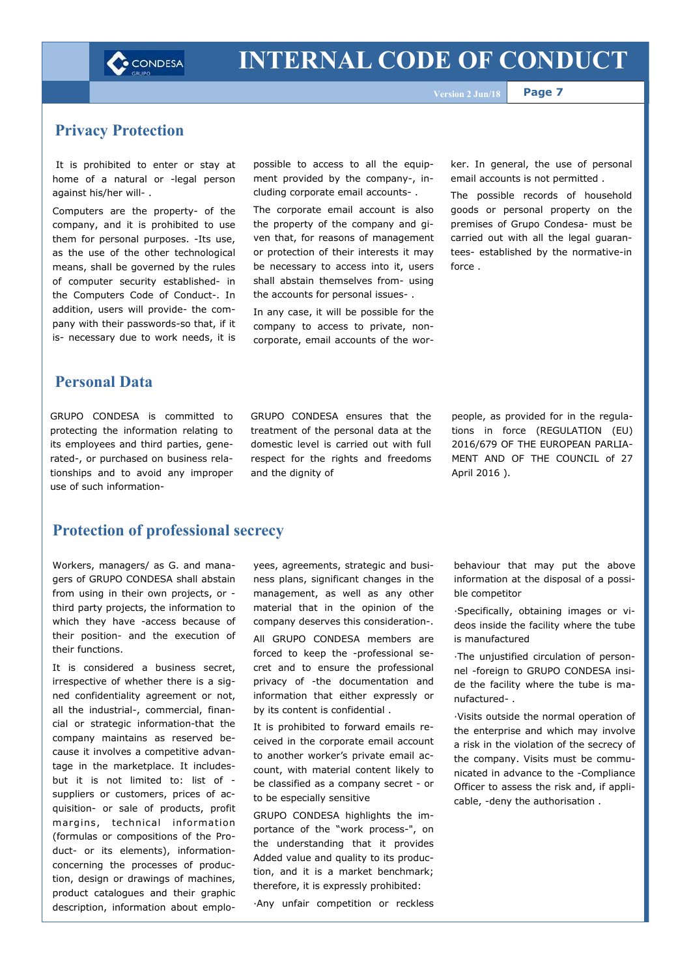

**Page 7**

#### **Privacy Protection**

It is prohibited to enter or stay at home of a natural or -legal person against his/her will- .

Computers are the property- of the company, and it is prohibited to use them for personal purposes. -Its use, as the use of the other technological means, shall be governed by the rules of computer security established- in the Computers Code of Conduct-. In addition, users will provide- the company with their passwords-so that, if it is- necessary due to work needs, it is

possible to access to all the equipment provided by the company-, including corporate email accounts- .

The corporate email account is also the property of the company and given that, for reasons of management or protection of their interests it may be necessary to access into it, users shall abstain themselves from- using the accounts for personal issues- .

In any case, it will be possible for the company to access to private, noncorporate, email accounts of the wor-

ker. In general, the use of personal email accounts is not permitted .

The possible records of household goods or personal property on the premises of Grupo Condesa- must be carried out with all the legal guarantees- established by the normative-in force .

#### **Personal Data**

GRUPO CONDESA is committed to protecting the information relating to its employees and third parties, generated-, or purchased on business relationships and to avoid any improper use of such information-

GRUPO CONDESA ensures that the treatment of the personal data at the domestic level is carried out with full respect for the rights and freedoms and the dignity of

people, as provided for in the regulations in force (REGULATION (EU) 2016/679 OF THE EUROPEAN PARLIA-MENT AND OF THE COUNCIL of 27 April 2016 ).

#### **Protection of professional secrecy**

Workers, managers/ as G. and managers of GRUPO CONDESA shall abstain from using in their own projects, or third party projects, the information to which they have -access because of their position- and the execution of their functions.

It is considered a business secret, irrespective of whether there is a signed confidentiality agreement or not, all the industrial-, commercial, financial or strategic information-that the company maintains as reserved because it involves a competitive advantage in the marketplace. It includesbut it is not limited to: list of suppliers or customers, prices of acquisition- or sale of products, profit margins, technical information (formulas or compositions of the Product- or its elements), informationconcerning the processes of production, design or drawings of machines, product catalogues and their graphic description, information about emplo-

yees, agreements, strategic and business plans, significant changes in the management, as well as any other material that in the opinion of the company deserves this consideration-.

All GRUPO CONDESA members are forced to keep the -professional secret and to ensure the professional privacy of -the documentation and information that either expressly or by its content is confidential .

It is prohibited to forward emails received in the corporate email account to another worker's private email account, with material content likely to be classified as a company secret - or to be especially sensitive

GRUPO CONDESA highlights the importance of the "work process-", on the understanding that it provides Added value and quality to its production, and it is a market benchmark; therefore, it is expressly prohibited:

·Any unfair competition or reckless

behaviour that may put the above information at the disposal of a possible competitor

·Specifically, obtaining images or videos inside the facility where the tube is manufactured

·The unjustified circulation of personnel -foreign to GRUPO CONDESA inside the facility where the tube is manufactured- .

·Visits outside the normal operation of the enterprise and which may involve a risk in the violation of the secrecy of the company. Visits must be communicated in advance to the -Compliance Officer to assess the risk and, if applicable, -deny the authorisation .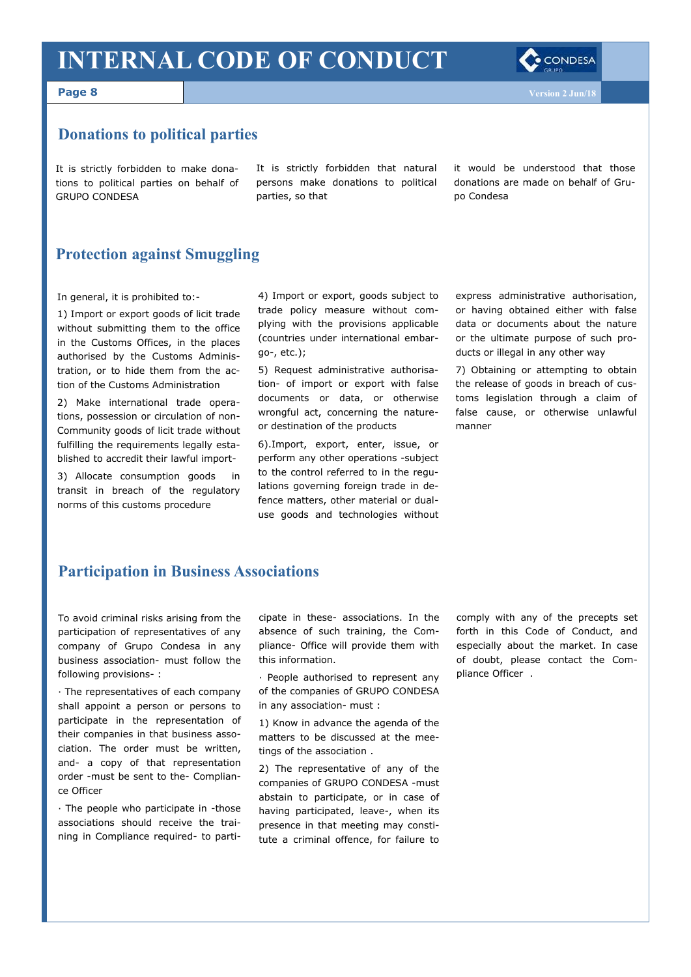#### **Page 8**

#### **Donations to political parties**

It is strictly forbidden to make donations to political parties on behalf of GRUPO CONDESA

It is strictly forbidden that natural persons make donations to political parties, so that

it would be understood that those donations are made on behalf of Grupo Condesa

### **Protection against Smuggling**

In general, it is prohibited to:-

1) Import or export goods of licit trade without submitting them to the office in the Customs Offices, in the places authorised by the Customs Administration, or to hide them from the action of the Customs Administration

2) Make international trade operations, possession or circulation of non-Community goods of licit trade without fulfilling the requirements legally established to accredit their lawful import-

3) Allocate consumption goods in transit in breach of the regulatory norms of this customs procedure

4) Import or export, goods subject to trade policy measure without complying with the provisions applicable (countries under international embargo-, etc.);

5) Request administrative authorisation- of import or export with false documents or data, or otherwise wrongful act, concerning the natureor destination of the products

6).Import, export, enter, issue, or perform any other operations -subject to the control referred to in the regulations governing foreign trade in defence matters, other material or dualuse goods and technologies without express administrative authorisation, or having obtained either with false data or documents about the nature or the ultimate purpose of such products or illegal in any other way

7) Obtaining or attempting to obtain the release of goods in breach of customs legislation through a claim of false cause, or otherwise unlawful manner

#### **Participation in Business Associations**

To avoid criminal risks arising from the participation of representatives of any company of Grupo Condesa in any business association- must follow the following provisions- :

· The representatives of each company shall appoint a person or persons to participate in the representation of their companies in that business association. The order must be written, and- a copy of that representation order -must be sent to the- Compliance Officer

· The people who participate in -those associations should receive the training in Compliance required- to participate in these- associations. In the absence of such training, the Compliance- Office will provide them with this information.

· People authorised to represent any of the companies of GRUPO CONDESA in any association- must :

1) Know in advance the agenda of the matters to be discussed at the meetings of the association .

2) The representative of any of the companies of GRUPO CONDESA -must abstain to participate, or in case of having participated, leave-, when its presence in that meeting may constitute a criminal offence, for failure to

comply with any of the precepts set forth in this Code of Conduct, and especially about the market. In case of doubt, please contact the Compliance Officer .